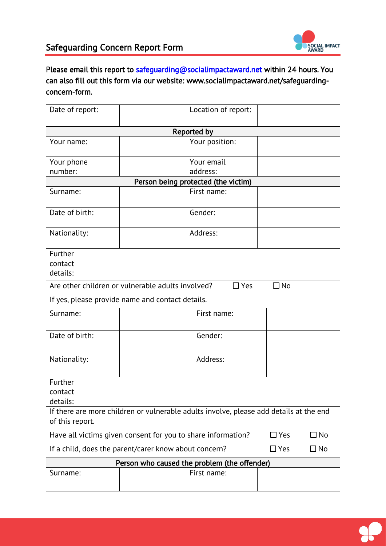

## Safeguarding Concern Report Form

Please email this report to [safeguarding@socialimpactaward.net](mailto:safeguarding@socialimpactaward.net) within 24 hours. You can also fill out this form via our website: www.socialimpactaward.net/safeguardingconcern-form.

| Date of report:                                                                                           |  | Location of report: |           |  |  |  |
|-----------------------------------------------------------------------------------------------------------|--|---------------------|-----------|--|--|--|
| Reported by                                                                                               |  |                     |           |  |  |  |
| Your name:                                                                                                |  | Your position:      |           |  |  |  |
| Your phone                                                                                                |  | Your email          |           |  |  |  |
| number:                                                                                                   |  | address:            |           |  |  |  |
| Person being protected (the victim)                                                                       |  |                     |           |  |  |  |
| Surname:                                                                                                  |  | First name:         |           |  |  |  |
| Date of birth:                                                                                            |  | Gender:             |           |  |  |  |
| Nationality:                                                                                              |  | Address:            |           |  |  |  |
| Further<br>contact<br>details:                                                                            |  |                     |           |  |  |  |
| Are other children or vulnerable adults involved?                                                         |  | $\Box$ Yes          | $\Box$ No |  |  |  |
| If yes, please provide name and contact details.                                                          |  |                     |           |  |  |  |
| Surname:                                                                                                  |  | First name:         |           |  |  |  |
| Date of birth:                                                                                            |  | Gender:             |           |  |  |  |
| Nationality:                                                                                              |  | Address:            |           |  |  |  |
| Further<br>contact<br>details:                                                                            |  |                     |           |  |  |  |
| If there are more children or vulnerable adults involve, please add details at the end<br>of this report. |  |                     |           |  |  |  |
| $\Box$ Yes<br>$\Box$ No<br>Have all victims given consent for you to share information?                   |  |                     |           |  |  |  |
| If a child, does the parent/carer know about concern?<br>$\Box$ Yes<br>$\square$ No                       |  |                     |           |  |  |  |
| Person who caused the problem (the offender)                                                              |  |                     |           |  |  |  |
| Surname:                                                                                                  |  | First name:         |           |  |  |  |

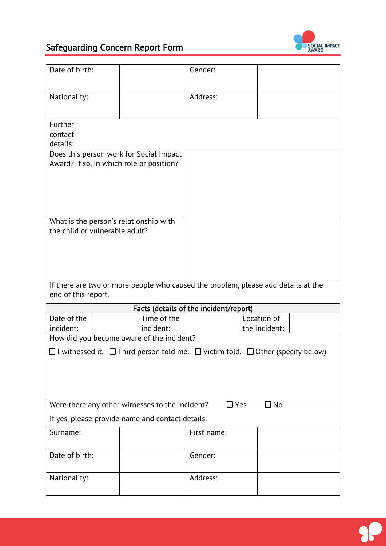

## Safeguarding Concern Report Form

| Date of birth:                                                                                           |                          | Gender:                                |                              |  |  |
|----------------------------------------------------------------------------------------------------------|--------------------------|----------------------------------------|------------------------------|--|--|
| Nationality:                                                                                             |                          | Address:                               |                              |  |  |
| Further<br>contact<br>details:                                                                           |                          |                                        |                              |  |  |
| Does this person work for Social Impact<br>Award? If so, in which role or position?                      |                          |                                        |                              |  |  |
| What is the person's relationship with<br>the child or vulnerable adult?                                 |                          |                                        |                              |  |  |
| If there are two or more people who caused the problem, please add details at the<br>end of this report. |                          |                                        |                              |  |  |
|                                                                                                          |                          | Facts (details of the incident/report) |                              |  |  |
| Date of the<br>incident:                                                                                 | Time of the<br>incident: |                                        | Location of<br>the incident: |  |  |
| How did you become aware of the incident?                                                                |                          |                                        |                              |  |  |
| $\Box$ I witnessed it. $\Box$ Third person told me. $\Box$ Victim told. $\Box$ Other (specify below)     |                          |                                        |                              |  |  |
| Were there any other witnesses to the incident?<br>$\Box$ Yes<br>$\Box$ No                               |                          |                                        |                              |  |  |
| If yes, please provide name and contact details.                                                         |                          |                                        |                              |  |  |
| Surname:                                                                                                 |                          | First name:                            |                              |  |  |
|                                                                                                          |                          |                                        |                              |  |  |
| Date of birth:                                                                                           |                          | Gender:                                |                              |  |  |

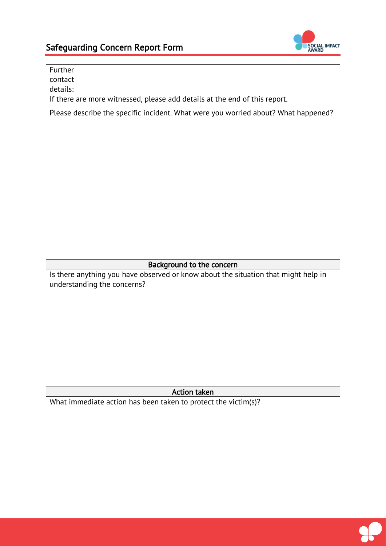

| Further                                                                                                           |  |  |  |
|-------------------------------------------------------------------------------------------------------------------|--|--|--|
| contact<br>details:                                                                                               |  |  |  |
| If there are more witnessed, please add details at the end of this report.                                        |  |  |  |
| Please describe the specific incident. What were you worried about? What happened?                                |  |  |  |
|                                                                                                                   |  |  |  |
|                                                                                                                   |  |  |  |
|                                                                                                                   |  |  |  |
|                                                                                                                   |  |  |  |
|                                                                                                                   |  |  |  |
|                                                                                                                   |  |  |  |
|                                                                                                                   |  |  |  |
|                                                                                                                   |  |  |  |
|                                                                                                                   |  |  |  |
|                                                                                                                   |  |  |  |
|                                                                                                                   |  |  |  |
|                                                                                                                   |  |  |  |
|                                                                                                                   |  |  |  |
| Background to the concern                                                                                         |  |  |  |
| Is there anything you have observed or know about the situation that might help in<br>understanding the concerns? |  |  |  |
|                                                                                                                   |  |  |  |
|                                                                                                                   |  |  |  |
|                                                                                                                   |  |  |  |
|                                                                                                                   |  |  |  |
|                                                                                                                   |  |  |  |
|                                                                                                                   |  |  |  |
|                                                                                                                   |  |  |  |
|                                                                                                                   |  |  |  |
|                                                                                                                   |  |  |  |
|                                                                                                                   |  |  |  |
| <b>Action taken</b>                                                                                               |  |  |  |
| What immediate action has been taken to protect the victim(s)?                                                    |  |  |  |
|                                                                                                                   |  |  |  |
|                                                                                                                   |  |  |  |
|                                                                                                                   |  |  |  |
|                                                                                                                   |  |  |  |
|                                                                                                                   |  |  |  |